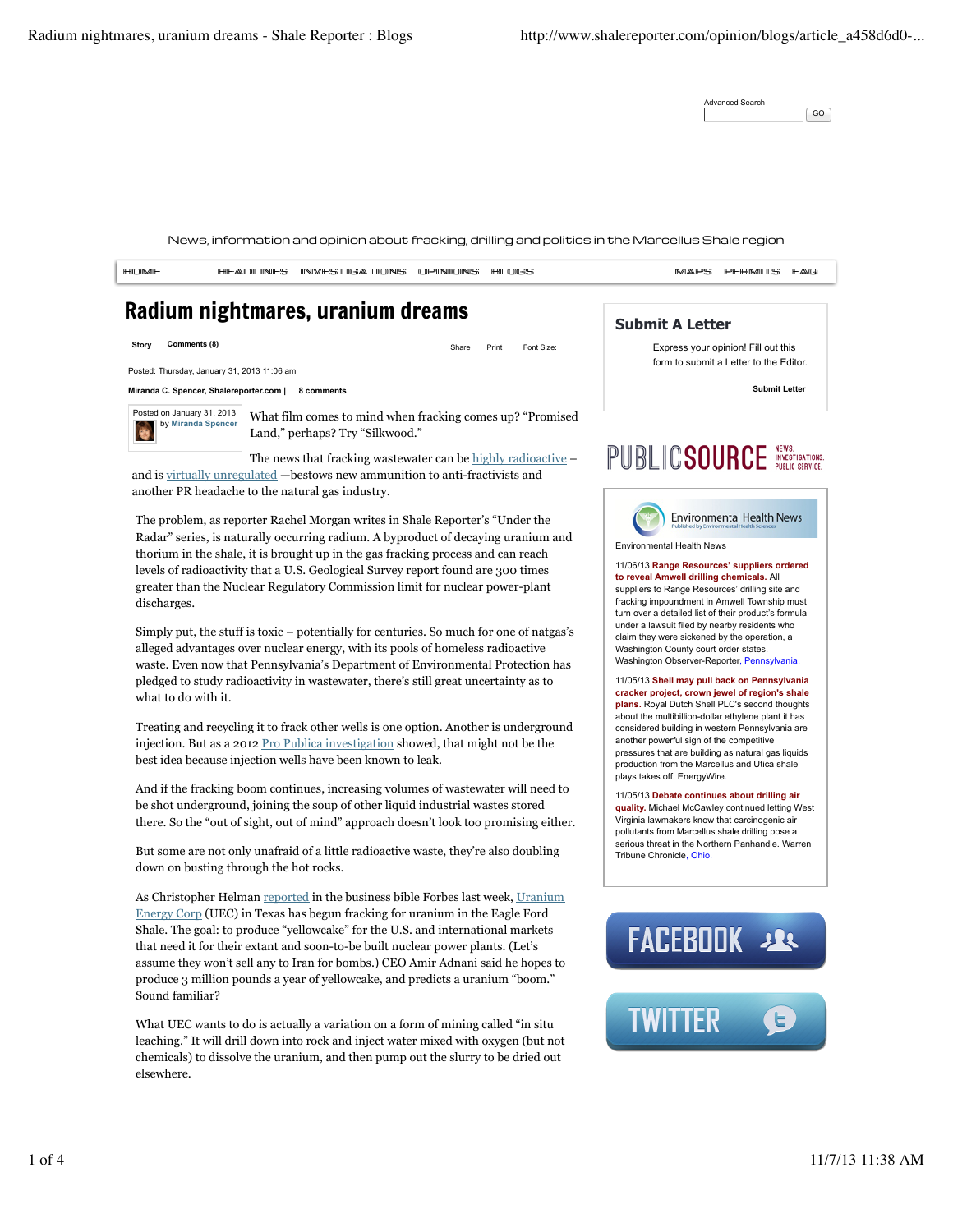Advanced Search GO

News, information and opinion about fracking, drilling and politics in the Marcellus Shale region

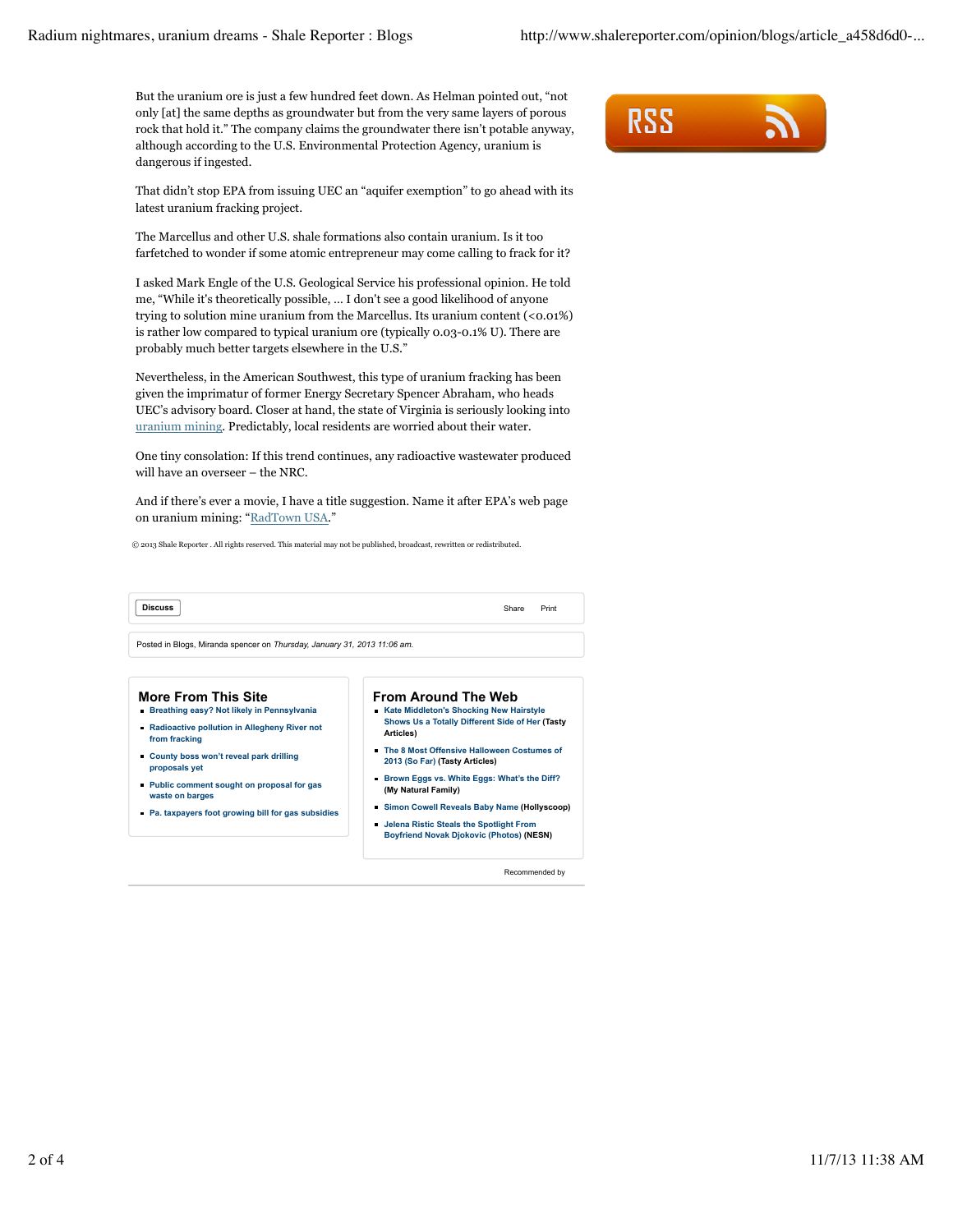But the uranium ore is just a few hundred feet down. As Helman pointed out, "not only [at] the same depths as groundwater but from the very same layers of porous rock that hold it." The company claims the groundwater there isn't potable anyway, although according to the U.S. Environmental Protection Agency, uranium is dangerous if ingested.

That didn't stop EPA from issuing UEC an "aquifer exemption" to go ahead with its latest uranium fracking project.

The Marcellus and other U.S. shale formations also contain uranium. Is it too farfetched to wonder if some atomic entrepreneur may come calling to frack for it?

I asked Mark Engle of the U.S. Geological Service his professional opinion. He told me, "While it's theoretically possible, … I don't see a good likelihood of anyone trying to solution mine uranium from the Marcellus. Its uranium content (<0.01%) is rather low compared to typical uranium ore (typically 0.03-0.1% U). There are probably much better targets elsewhere in the U.S."

Nevertheless, in the American Southwest, this type of uranium fracking has been given the imprimatur of former Energy Secretary Spencer Abraham, who heads UEC's advisory board. Closer at hand, the state of Virginia is seriously looking into uranium mining. Predictably, local residents are worried about their water.

One tiny consolation: If this trend continues, any radioactive wastewater produced will have an overseer – the NRC.

And if there's ever a movie, I have a title suggestion. Name it after EPA's web page on uranium mining: "RadTown USA."

© 2013 Shale Reporter . All rights reserved. This material may not be published, broadcast, rewritten or redistributed.

| Discuss | Share<br>. | Print |
|---------|------------|-------|

Posted in Blogs, Miranda spencer on *Thursday, January 31, 2013 11:06 am.*

## **More From This Site Breathing easy? Not likely in Pennsylvania**

- **Radioactive pollution in Allegheny River not from fracking**
- **County boss won't reveal park drilling proposals yet**
- **Public comment sought on proposal for gas waste on barges**
- **Pa. taxpayers foot growing bill for gas subsidies**
- **Simon Cowell Reveals Baby Name (Hollyscoop) Jelena Ristic Steals the Spotlight From Boyfriend Novak Djokovic (Photos) (NESN)**

**The 8 Most Offensive Halloween Costumes of 2013 (So Far) (Tasty Articles)**

**Brown Eggs vs. White Eggs: What's the Diff?**

**From Around The Web Kate Middleton's Shocking New Hairstyle Shows Us a Totally Different Side of Her (Tasty**

**Articles)**

**(My Natural Family)**

Recommended by

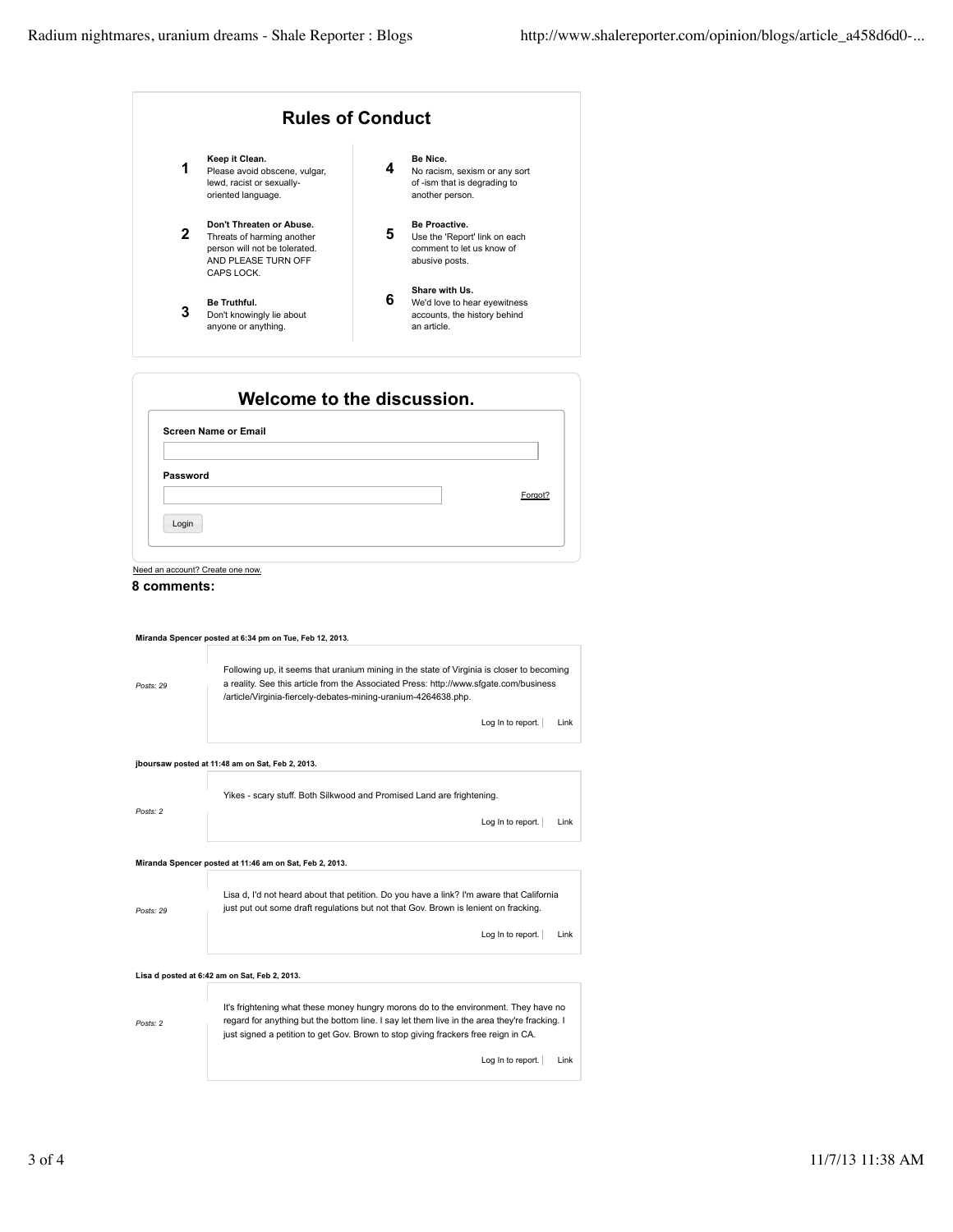

| <b>Screen Name or Email</b> |  |         |
|-----------------------------|--|---------|
|                             |  |         |
| Password                    |  |         |
|                             |  | Forgot? |
|                             |  |         |

Need an account? Create one now.



|           | Miranda Spencer posted at 6:34 pm on Tue, Feb 12, 2013.                                                                                                                                                                                                                           |
|-----------|-----------------------------------------------------------------------------------------------------------------------------------------------------------------------------------------------------------------------------------------------------------------------------------|
| Posts: 29 | Following up, it seems that uranium mining in the state of Virginia is closer to becoming<br>a reality. See this article from the Associated Press: http://www.sfqate.com/business<br>/article/Virginia-fiercely-debates-mining-uranium-4264638.php.<br>Log In to report.<br>Link |
|           |                                                                                                                                                                                                                                                                                   |
|           | jboursaw posted at 11:48 am on Sat, Feb 2, 2013.                                                                                                                                                                                                                                  |
|           | Yikes - scary stuff. Both Silkwood and Promised Land are frightening.                                                                                                                                                                                                             |
| Posts: 2  | Log In to report.<br>Link                                                                                                                                                                                                                                                         |
|           | Miranda Spencer posted at 11:46 am on Sat, Feb 2, 2013.                                                                                                                                                                                                                           |
| Posts: 29 | Lisa d, I'd not heard about that petition. Do you have a link? I'm aware that California<br>just put out some draft regulations but not that Gov. Brown is lenient on fracking.                                                                                                   |
|           | Log In to report.<br>Link                                                                                                                                                                                                                                                         |
|           | Lisa d posted at 6:42 am on Sat, Feb 2, 2013.                                                                                                                                                                                                                                     |
| Posts: 2  | It's frightening what these money hungry morons do to the environment. They have no<br>regard for anything but the bottom line. I say let them live in the area they're fracking. I<br>just signed a petition to get Gov. Brown to stop giving frackers free reign in CA.         |
|           | Log In to report.<br>Link                                                                                                                                                                                                                                                         |